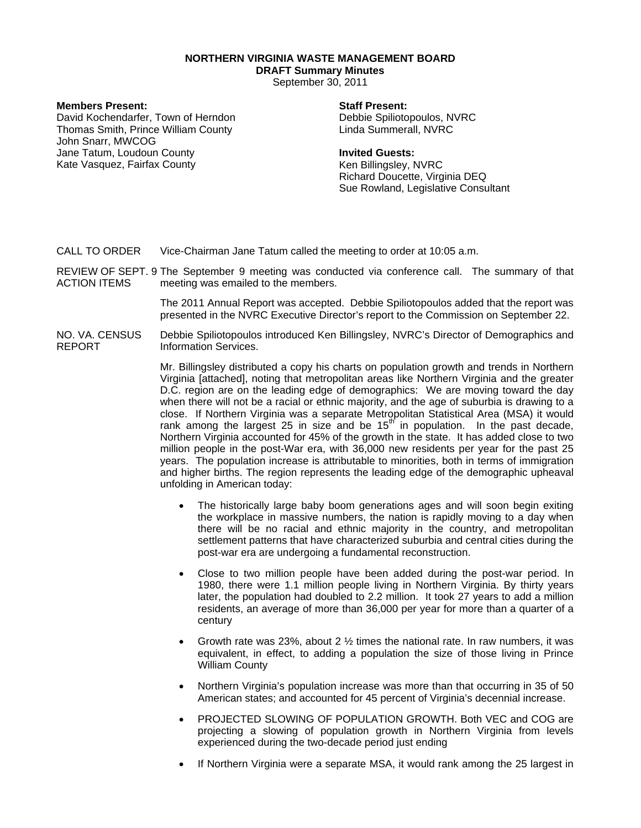# **NORTHERN VIRGINIA WASTE MANAGEMENT BOARD**

**DRAFT Summary Minutes** 

September 30, 2011

# **Members Present:**

David Kochendarfer, Town of Herndon Thomas Smith, Prince William County John Snarr, MWCOG Jane Tatum, Loudoun County Kate Vasquez, Fairfax County

# **Staff Present:**

Debbie Spiliotopoulos, NVRC Linda Summerall, NVRC

### **Invited Guests:**

Ken Billingsley, NVRC Richard Doucette, Virginia DEQ Sue Rowland, Legislative Consultant

- CALL TO ORDER Vice-Chairman Jane Tatum called the meeting to order at 10:05 a.m.
- REVIEW OF SEPT. 9 The September 9 meeting was conducted via conference call. The summary of that ACTION ITEMS meeting was emailed to the members.

The 2011 Annual Report was accepted. Debbie Spiliotopoulos added that the report was presented in the NVRC Executive Director's report to the Commission on September 22.

#### NO. VA. CENSUS REPORT Debbie Spiliotopoulos introduced Ken Billingsley, NVRC's Director of Demographics and Information Services.

Mr. Billingsley distributed a copy his charts on population growth and trends in Northern Virginia [attached], noting that metropolitan areas like Northern Virginia and the greater D.C. region are on the leading edge of demographics: We are moving toward the day when there will not be a racial or ethnic majority, and the age of suburbia is drawing to a close. If Northern Virginia was a separate Metropolitan Statistical Area (MSA) it would rank among the largest  $25$  in size and be  $15<sup>th</sup>$  in population. In the past decade, Northern Virginia accounted for 45% of the growth in the state. It has added close to two million people in the post-War era, with 36,000 new residents per year for the past 25 years. The population increase is attributable to minorities, both in terms of immigration and higher births. The region represents the leading edge of the demographic upheaval unfolding in American today:

- The historically large baby boom generations ages and will soon begin exiting the workplace in massive numbers, the nation is rapidly moving to a day when there will be no racial and ethnic majority in the country, and metropolitan settlement patterns that have characterized suburbia and central cities during the post-war era are undergoing a fundamental reconstruction.
- Close to two million people have been added during the post-war period. In 1980, there were 1.1 million people living in Northern Virginia. By thirty years later, the population had doubled to 2.2 million. It took 27 years to add a million residents, an average of more than 36,000 per year for more than a quarter of a century
- Growth rate was 23%, about 2  $\frac{1}{2}$  times the national rate. In raw numbers, it was equivalent, in effect, to adding a population the size of those living in Prince William County
- Northern Virginia's population increase was more than that occurring in 35 of 50 American states; and accounted for 45 percent of Virginia's decennial increase.
- PROJECTED SLOWING OF POPULATION GROWTH. Both VEC and COG are projecting a slowing of population growth in Northern Virginia from levels experienced during the two-decade period just ending
- If Northern Virginia were a separate MSA, it would rank among the 25 largest in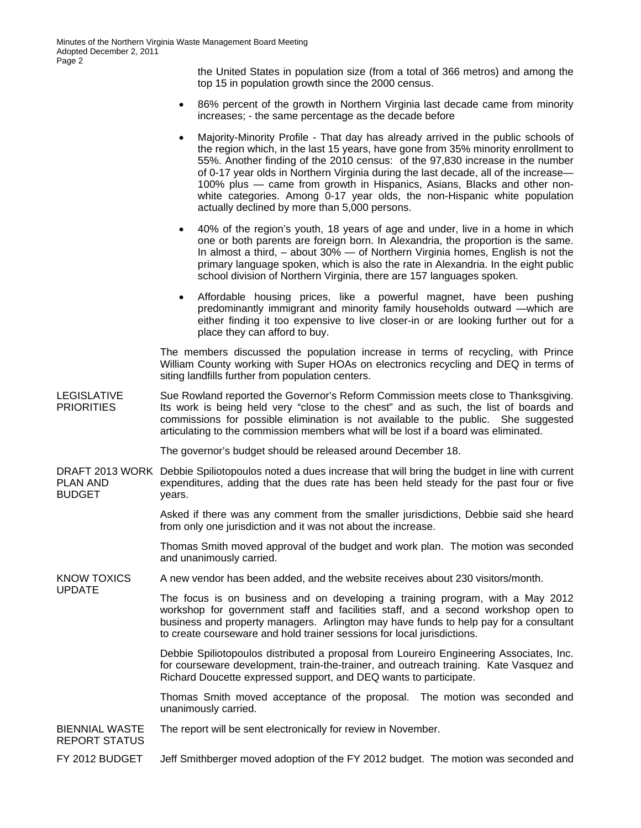the United States in population size (from a total of 366 metros) and among the top 15 in population growth since the 2000 census.

- 86% percent of the growth in Northern Virginia last decade came from minority increases; - the same percentage as the decade before
- Majority-Minority Profile That day has already arrived in the public schools of the region which, in the last 15 years, have gone from 35% minority enrollment to 55%. Another finding of the 2010 census: of the 97,830 increase in the number of 0-17 year olds in Northern Virginia during the last decade, all of the increase— 100% plus — came from growth in Hispanics, Asians, Blacks and other nonwhite categories. Among 0-17 year olds, the non-Hispanic white population actually declined by more than 5,000 persons.
- 40% of the region's youth, 18 years of age and under, live in a home in which one or both parents are foreign born. In Alexandria, the proportion is the same. In almost a third,  $-$  about 30%  $-$  of Northern Virginia homes, English is not the primary language spoken, which is also the rate in Alexandria. In the eight public school division of Northern Virginia, there are 157 languages spoken.
- Affordable housing prices, like a powerful magnet, have been pushing predominantly immigrant and minority family households outward —which are either finding it too expensive to live closer-in or are looking further out for a place they can afford to buy.

The members discussed the population increase in terms of recycling, with Prince William County working with Super HOAs on electronics recycling and DEQ in terms of siting landfills further from population centers.

LEGISLATIVE **PRIORITIES** Sue Rowland reported the Governor's Reform Commission meets close to Thanksgiving. Its work is being held very "close to the chest" and as such, the list of boards and commissions for possible elimination is not available to the public. She suggested articulating to the commission members what will be lost if a board was eliminated.

The governor's budget should be released around December 18.

DRAFT 2013 WORK Debbie Spiliotopoulos noted a dues increase that will bring the budget in line with current PLAN AND BUDGET expenditures, adding that the dues rate has been held steady for the past four or five years.

> Asked if there was any comment from the smaller jurisdictions, Debbie said she heard from only one jurisdiction and it was not about the increase.

> Thomas Smith moved approval of the budget and work plan. The motion was seconded and unanimously carried.

KNOW TOXICS A new vendor has been added, and the website receives about 230 visitors/month.

> The focus is on business and on developing a training program, with a May 2012 workshop for government staff and facilities staff, and a second workshop open to business and property managers. Arlington may have funds to help pay for a consultant to create courseware and hold trainer sessions for local jurisdictions.

Debbie Spiliotopoulos distributed a proposal from Loureiro Engineering Associates, Inc. for courseware development, train-the-trainer, and outreach training. Kate Vasquez and Richard Doucette expressed support, and DEQ wants to participate.

Thomas Smith moved acceptance of the proposal. The motion was seconded and unanimously carried.

### BIENNIAL WASTE The report will be sent electronically for review in November.

REPORT STATUS

UPDATE

FY 2012 BUDGET Jeff Smithberger moved adoption of the FY 2012 budget. The motion was seconded and